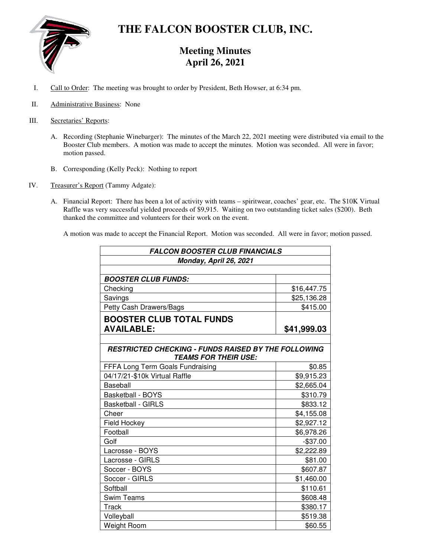

# **THE FALCON BOOSTER CLUB, INC.**

# **Meeting Minutes April 26, 2021**

- I. Call to Order: The meeting was brought to order by President, Beth Howser, at 6:34 pm.
- II. Administrative Business: None
- III. Secretaries' Reports:
	- A. Recording (Stephanie Winebarger): The minutes of the March 22, 2021 meeting were distributed via email to the Booster Club members. A motion was made to accept the minutes. Motion was seconded. All were in favor; motion passed.
	- B. Corresponding (Kelly Peck): Nothing to report
- IV. Treasurer's Report (Tammy Adgate):
	- A. Financial Report: There has been a lot of activity with teams spiritwear, coaches' gear, etc. The \$10K Virtual Raffle was very successful yielded proceeds of \$9,915. Waiting on two outstanding ticket sales (\$200). Beth thanked the committee and volunteers for their work on the event.

A motion was made to accept the Financial Report. Motion was seconded. All were in favor; motion passed.

| <b>FALCON BOOSTER CLUB FINANCIALS</b><br>Monday, April 26, 2021 |             |                            |             |
|-----------------------------------------------------------------|-------------|----------------------------|-------------|
|                                                                 |             | <b>BOOSTER CLUB FUNDS:</b> |             |
|                                                                 |             | Checking                   | \$16,447.75 |
| Savings                                                         | \$25,136.28 |                            |             |
| Petty Cash Drawers/Bags                                         | \$415.00    |                            |             |
| <b>BOOSTER CLUB TOTAL FUNDS</b>                                 |             |                            |             |
| <b>AVAILABLE:</b>                                               | \$41,999.03 |                            |             |
|                                                                 |             |                            |             |
| <b>RESTRICTED CHECKING - FUNDS RAISED BY THE FOLLOWING</b>      |             |                            |             |
| <b>TEAMS FOR THEIR USE:</b>                                     |             |                            |             |
| FFFA Long Term Goals Fundraising                                | \$0.85      |                            |             |
| 04/17/21-\$10k Virtual Raffle                                   | \$9,915.23  |                            |             |
| Baseball                                                        | \$2,665.04  |                            |             |
| <b>Basketball - BOYS</b>                                        | \$310.79    |                            |             |
| <b>Basketball - GIRLS</b>                                       | \$833.12    |                            |             |
| Cheer                                                           | \$4,155.08  |                            |             |
| Field Hockey                                                    | \$2,927.12  |                            |             |
| Football                                                        | \$6,978.26  |                            |             |
| Golf                                                            | $-$37.00$   |                            |             |
| Lacrosse - BOYS                                                 | \$2,222.89  |                            |             |
| Lacrosse - GIRLS                                                | \$81.00     |                            |             |
| Soccer - BOYS                                                   | \$607.87    |                            |             |
| Soccer - GIRLS                                                  | \$1,460.00  |                            |             |
| Softball                                                        | \$110.61    |                            |             |
| <b>Swim Teams</b>                                               | \$608.48    |                            |             |
| Track                                                           | \$380.17    |                            |             |
| Volleyball                                                      | \$519.38    |                            |             |
| <b>Weight Room</b>                                              | \$60.55     |                            |             |